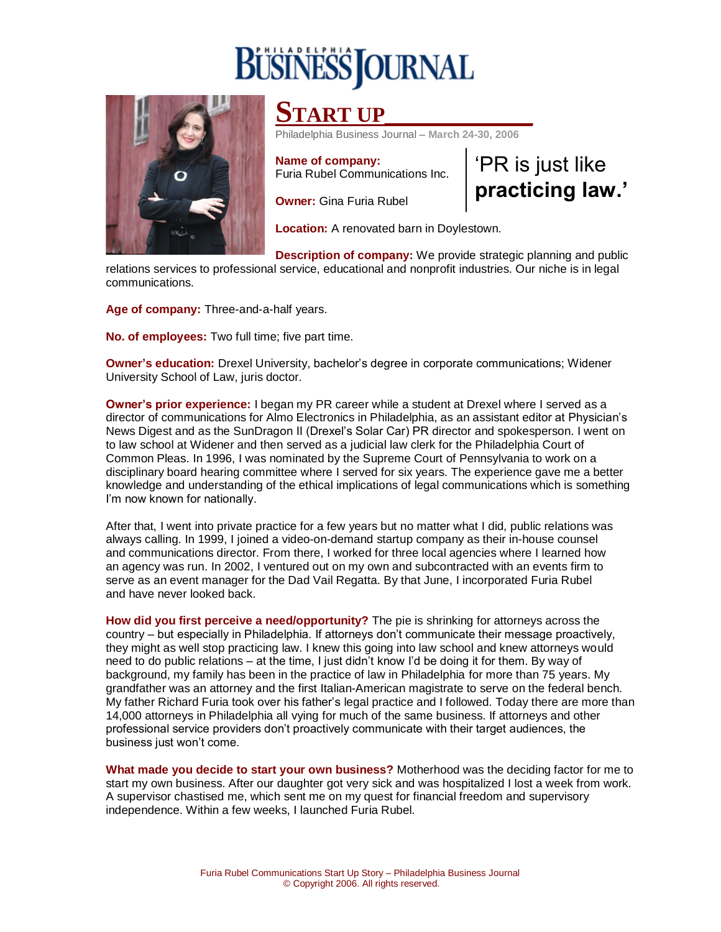## **BUSINESS OURNAL**



## **START UP\_\_\_\_\_\_\_\_\_\_\_\_\_\_**

Philadelphia Business Journal – **March 24-30, 2006**

**Name of company:** Furia Rubel Communications Inc. 'PR is just like **practicing law.'**

**Owner:** Gina Furia Rubel

**Location:** A renovated barn in Doylestown.

**Description of company:** We provide strategic planning and public relations services to professional service, educational and nonprofit industries. Our niche is in legal communications.

**Age of company:** Three-and-a-half years.

**No. of employees:** Two full time; five part time.

**Owner's education:** Drexel University, bachelor's degree in corporate communications; Widener University School of Law, juris doctor.

**Owner's prior experience:** I began my PR career while a student at Drexel where I served as a director of communications for Almo Electronics in Philadelphia, as an assistant editor at Physician's News Digest and as the SunDragon II (Drexel's Solar Car) PR director and spokesperson. I went on to law school at Widener and then served as a judicial law clerk for the Philadelphia Court of Common Pleas. In 1996, I was nominated by the Supreme Court of Pennsylvania to work on a disciplinary board hearing committee where I served for six years. The experience gave me a better knowledge and understanding of the ethical implications of legal communications which is something I'm now known for nationally.

After that, I went into private practice for a few years but no matter what I did, public relations was always calling. In 1999, I joined a video-on-demand startup company as their in-house counsel and communications director. From there, I worked for three local agencies where I learned how an agency was run. In 2002, I ventured out on my own and subcontracted with an events firm to serve as an event manager for the Dad Vail Regatta. By that June, I incorporated Furia Rubel and have never looked back.

**How did you first perceive a need/opportunity?** The pie is shrinking for attorneys across the country – but especially in Philadelphia. If attorneys don't communicate their message proactively, they might as well stop practicing law. I knew this going into law school and knew attorneys would need to do public relations – at the time, I just didn't know I'd be doing it for them. By way of background, my family has been in the practice of law in Philadelphia for more than 75 years. My grandfather was an attorney and the first Italian-American magistrate to serve on the federal bench. My father Richard Furia took over his father's legal practice and I followed. Today there are more than 14,000 attorneys in Philadelphia all vying for much of the same business. If attorneys and other professional service providers don't proactively communicate with their target audiences, the business just won't come.

**What made you decide to start your own business?** Motherhood was the deciding factor for me to start my own business. After our daughter got very sick and was hospitalized I lost a week from work. A supervisor chastised me, which sent me on my quest for financial freedom and supervisory independence. Within a few weeks, I launched Furia Rubel.